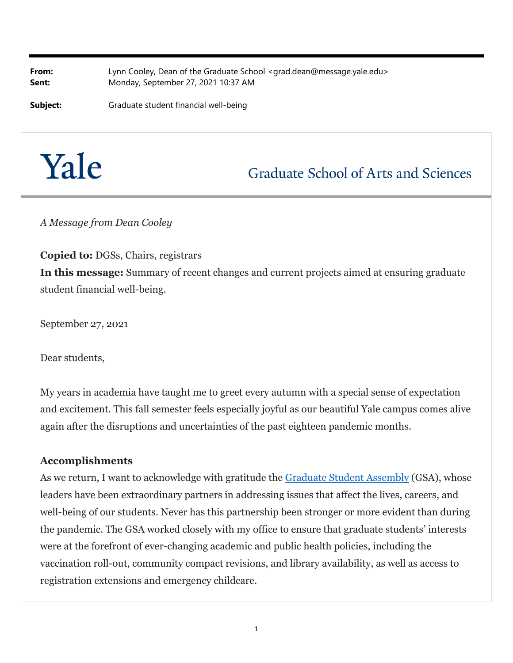**From:** Lynn Cooley, Dean of the Graduate School <grad.dean@message.yale.edu> **Sent:** Monday, September 27, 2021 10:37 AM

**Subject:** Graduate student financial well-being

# Yale

# **Graduate School of Arts and Sciences**

*A Message from Dean Cooley*

**Copied to:** DGSs, Chairs, registrars **In this message:** Summary of recent changes and current projects aimed at ensuring graduate student financial well-being.

September 27, 2021

Dear students,

My years in academia have taught me to greet every autumn with a special sense of expectation and excitement. This fall semester feels especially joyful as our beautiful Yale campus comes alive again after the disruptions and uncertainties of the past eighteen pandemic months.

#### **Accomplishments**

As we return, I want to acknowledge with gratitude the **Graduate Student Assembly (GSA)**, whose leaders have been extraordinary partners in addressing issues that affect the lives, careers, and well-being of our students. Never has this partnership been stronger or more evident than during the pandemic. The GSA worked closely with my office to ensure that graduate students' interests were at the forefront of ever-changing academic and public health policies, including the vaccination roll-out, community compact revisions, and library availability, as well as access to registration extensions and emergency childcare.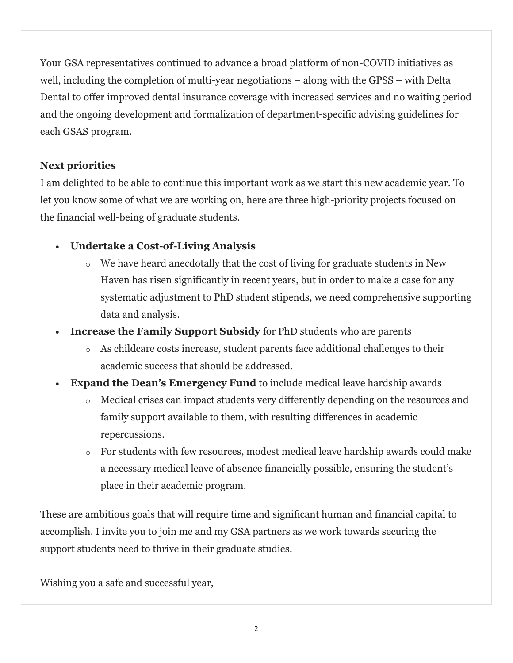Your GSA representatives continued to advance a broad platform of non-COVID initiatives as well, including the completion of multi-year negotiations – along with the GPSS – with Delta Dental to offer improved dental insurance coverage with increased services and no waiting period and the ongoing development and formalization of department-specific advising guidelines for each GSAS program.

### **Next priorities**

I am delighted to be able to continue this important work as we start this new academic year. To let you know some of what we are working on, here are three high-priority projects focused on the financial well-being of graduate students.

## **Undertake a Cost-of-Living Analysis**

- o We have heard anecdotally that the cost of living for graduate students in New Haven has risen significantly in recent years, but in order to make a case for any systematic adjustment to PhD student stipends, we need comprehensive supporting data and analysis.
- **Increase the Family Support Subsidy** for PhD students who are parents
	- o As childcare costs increase, student parents face additional challenges to their academic success that should be addressed.
- **Expand the Dean's Emergency Fund** to include medical leave hardship awards
	- o Medical crises can impact students very differently depending on the resources and family support available to them, with resulting differences in academic repercussions.
	- o For students with few resources, modest medical leave hardship awards could make a necessary medical leave of absence financially possible, ensuring the student's place in their academic program.

These are ambitious goals that will require time and significant human and financial capital to accomplish. I invite you to join me and my GSA partners as we work towards securing the support students need to thrive in their graduate studies.

Wishing you a safe and successful year,